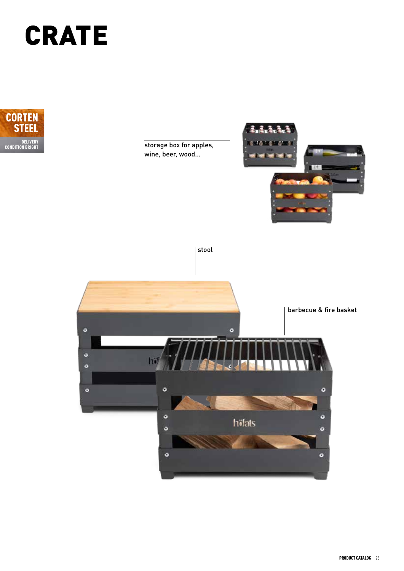## CRATE